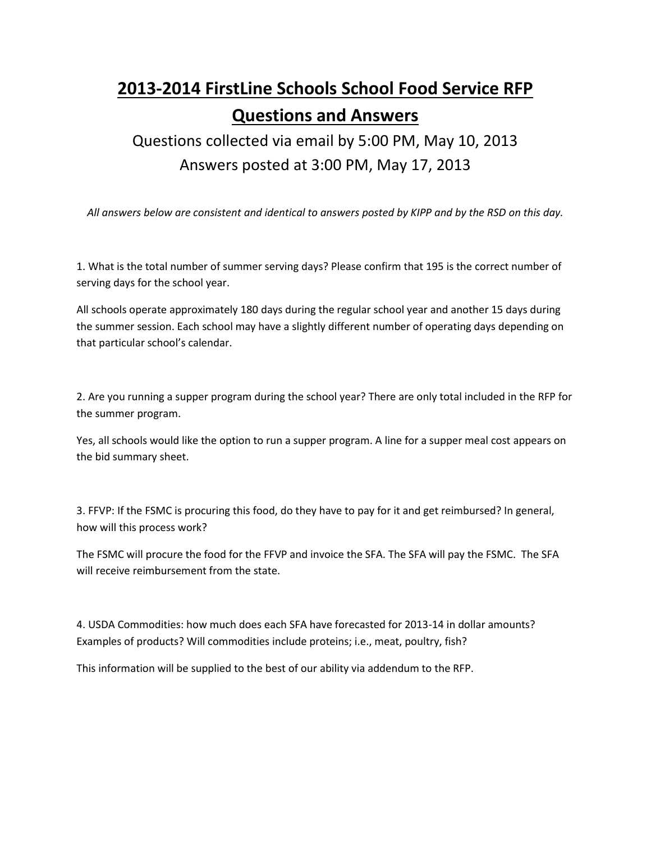## **2013-2014 FirstLine Schools School Food Service RFP Questions and Answers**

Questions collected via email by 5:00 PM, May 10, 2013 Answers posted at 3:00 PM, May 17, 2013

*All answers below are consistent and identical to answers posted by KIPP and by the RSD on this day.*

1. What is the total number of summer serving days? Please confirm that 195 is the correct number of serving days for the school year.

All schools operate approximately 180 days during the regular school year and another 15 days during the summer session. Each school may have a slightly different number of operating days depending on that particular school's calendar.

2. Are you running a supper program during the school year? There are only total included in the RFP for the summer program.

Yes, all schools would like the option to run a supper program. A line for a supper meal cost appears on the bid summary sheet.

3. FFVP: If the FSMC is procuring this food, do they have to pay for it and get reimbursed? In general, how will this process work?

The FSMC will procure the food for the FFVP and invoice the SFA. The SFA will pay the FSMC. The SFA will receive reimbursement from the state.

4. USDA Commodities: how much does each SFA have forecasted for 2013-14 in dollar amounts? Examples of products? Will commodities include proteins; i.e., meat, poultry, fish?

This information will be supplied to the best of our ability via addendum to the RFP.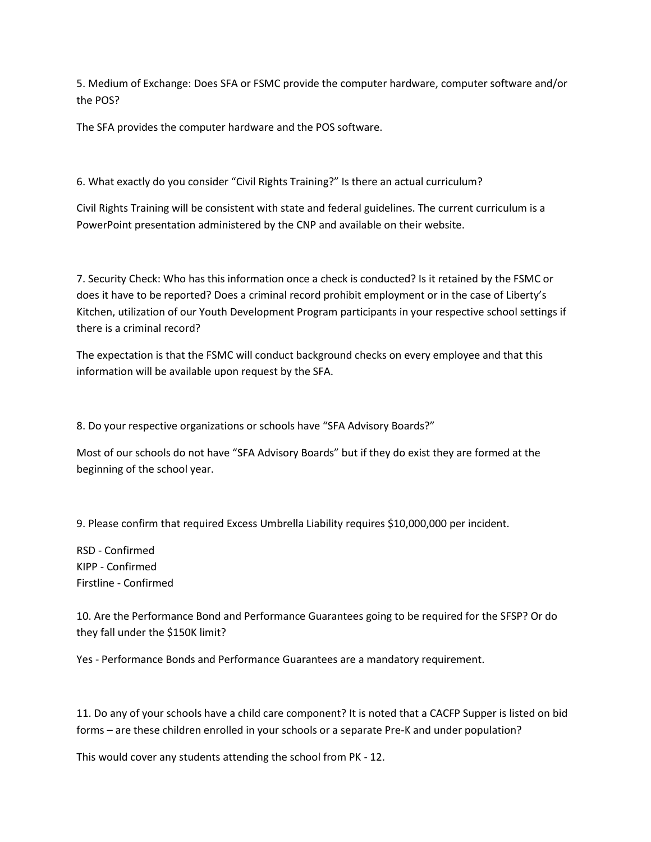5. Medium of Exchange: Does SFA or FSMC provide the computer hardware, computer software and/or the POS?

The SFA provides the computer hardware and the POS software.

6. What exactly do you consider "Civil Rights Training?" Is there an actual curriculum?

Civil Rights Training will be consistent with state and federal guidelines. The current curriculum is a PowerPoint presentation administered by the CNP and available on their website.

7. Security Check: Who has this information once a check is conducted? Is it retained by the FSMC or does it have to be reported? Does a criminal record prohibit employment or in the case of Liberty's Kitchen, utilization of our Youth Development Program participants in your respective school settings if there is a criminal record?

The expectation is that the FSMC will conduct background checks on every employee and that this information will be available upon request by the SFA.

8. Do your respective organizations or schools have "SFA Advisory Boards?"

Most of our schools do not have "SFA Advisory Boards" but if they do exist they are formed at the beginning of the school year.

9. Please confirm that required Excess Umbrella Liability requires \$10,000,000 per incident.

RSD - Confirmed KIPP - Confirmed Firstline - Confirmed

10. Are the Performance Bond and Performance Guarantees going to be required for the SFSP? Or do they fall under the \$150K limit?

Yes - Performance Bonds and Performance Guarantees are a mandatory requirement.

11. Do any of your schools have a child care component? It is noted that a CACFP Supper is listed on bid forms – are these children enrolled in your schools or a separate Pre-K and under population?

This would cover any students attending the school from PK - 12.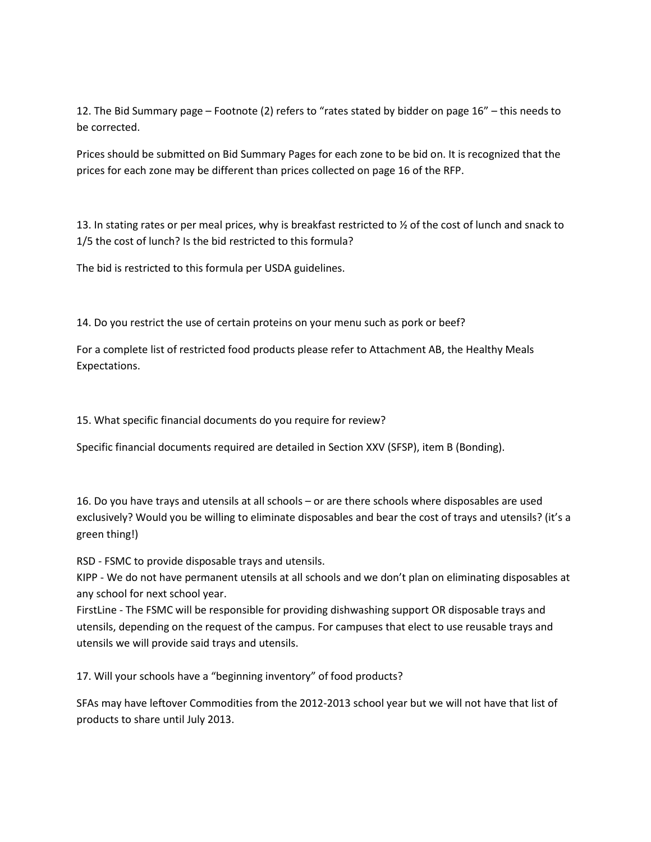12. The Bid Summary page – Footnote (2) refers to "rates stated by bidder on page 16" – this needs to be corrected.

Prices should be submitted on Bid Summary Pages for each zone to be bid on. It is recognized that the prices for each zone may be different than prices collected on page 16 of the RFP.

13. In stating rates or per meal prices, why is breakfast restricted to  $\frac{1}{2}$  of the cost of lunch and snack to 1/5 the cost of lunch? Is the bid restricted to this formula?

The bid is restricted to this formula per USDA guidelines.

14. Do you restrict the use of certain proteins on your menu such as pork or beef?

For a complete list of restricted food products please refer to Attachment AB, the Healthy Meals Expectations.

15. What specific financial documents do you require for review?

Specific financial documents required are detailed in Section XXV (SFSP), item B (Bonding).

16. Do you have trays and utensils at all schools – or are there schools where disposables are used exclusively? Would you be willing to eliminate disposables and bear the cost of trays and utensils? (it's a green thing!)

RSD - FSMC to provide disposable trays and utensils.

KIPP - We do not have permanent utensils at all schools and we don't plan on eliminating disposables at any school for next school year.

FirstLine - The FSMC will be responsible for providing dishwashing support OR disposable trays and utensils, depending on the request of the campus. For campuses that elect to use reusable trays and utensils we will provide said trays and utensils.

17. Will your schools have a "beginning inventory" of food products?

SFAs may have leftover Commodities from the 2012-2013 school year but we will not have that list of products to share until July 2013.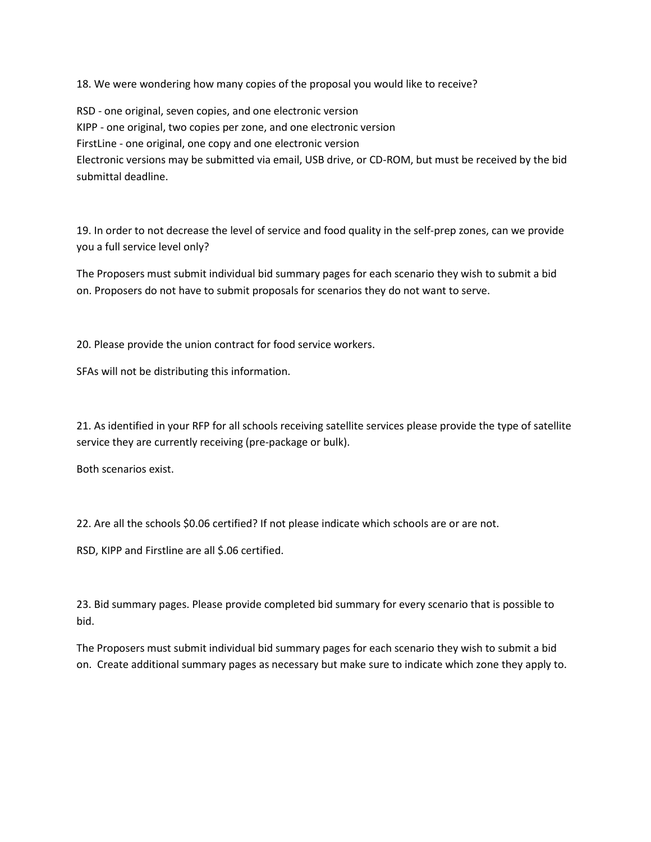18. We were wondering how many copies of the proposal you would like to receive?

RSD - one original, seven copies, and one electronic version KIPP - one original, two copies per zone, and one electronic version FirstLine - one original, one copy and one electronic version Electronic versions may be submitted via email, USB drive, or CD-ROM, but must be received by the bid submittal deadline.

19. In order to not decrease the level of service and food quality in the self-prep zones, can we provide you a full service level only?

The Proposers must submit individual bid summary pages for each scenario they wish to submit a bid on. Proposers do not have to submit proposals for scenarios they do not want to serve.

20. Please provide the union contract for food service workers.

SFAs will not be distributing this information.

21. As identified in your RFP for all schools receiving satellite services please provide the type of satellite service they are currently receiving (pre-package or bulk).

Both scenarios exist.

22. Are all the schools \$0.06 certified? If not please indicate which schools are or are not.

RSD, KIPP and Firstline are all \$.06 certified.

23. Bid summary pages. Please provide completed bid summary for every scenario that is possible to bid.

The Proposers must submit individual bid summary pages for each scenario they wish to submit a bid on. Create additional summary pages as necessary but make sure to indicate which zone they apply to.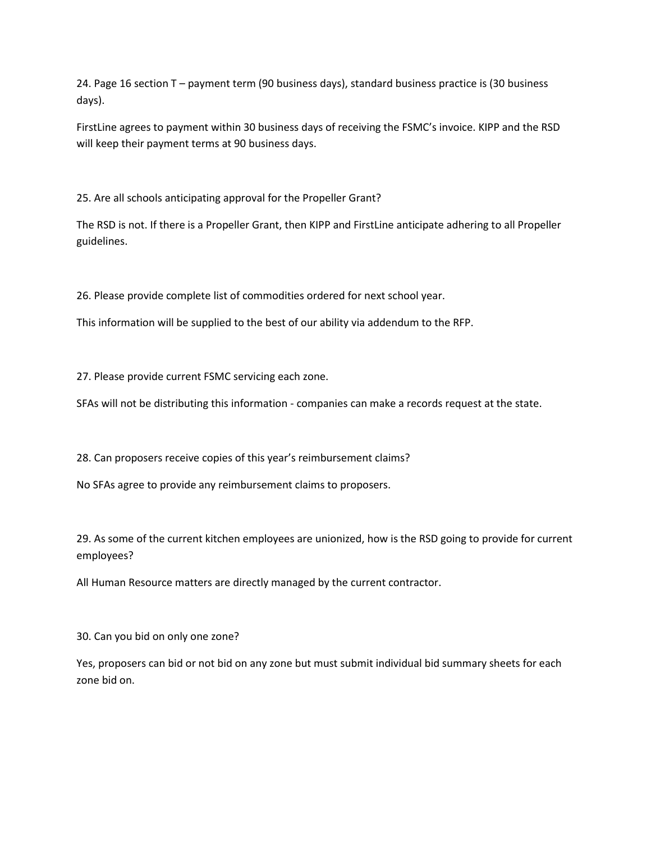24. Page 16 section T – payment term (90 business days), standard business practice is (30 business days).

FirstLine agrees to payment within 30 business days of receiving the FSMC's invoice. KIPP and the RSD will keep their payment terms at 90 business days.

25. Are all schools anticipating approval for the Propeller Grant?

The RSD is not. If there is a Propeller Grant, then KIPP and FirstLine anticipate adhering to all Propeller guidelines.

26. Please provide complete list of commodities ordered for next school year.

This information will be supplied to the best of our ability via addendum to the RFP.

27. Please provide current FSMC servicing each zone.

SFAs will not be distributing this information - companies can make a records request at the state.

28. Can proposers receive copies of this year's reimbursement claims?

No SFAs agree to provide any reimbursement claims to proposers.

29. As some of the current kitchen employees are unionized, how is the RSD going to provide for current employees?

All Human Resource matters are directly managed by the current contractor.

30. Can you bid on only one zone?

Yes, proposers can bid or not bid on any zone but must submit individual bid summary sheets for each zone bid on.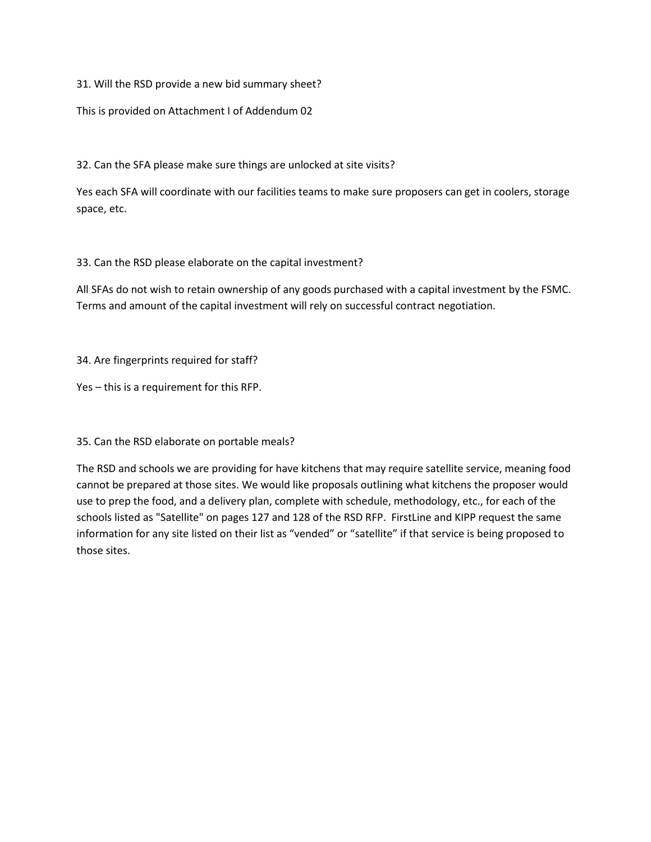31. Will the RSD provide a new bid summary sheet?

This is provided on Attachment I of Addendum 02

32. Can the SFA please make sure things are unlocked at site visits?

Yes each SFA will coordinate with our facilities teams to make sure proposers can get in coolers, storage space, etc.

33. Can the RSD please elaborate on the capital investment?

All SFAs do not wish to retain ownership of any goods purchased with a capital investment by the FSMC. Terms and amount of the capital investment will rely on successful contract negotiation.

34. Are fingerprints required for staff?

Yes – this is a requirement for this RFP.

35. Can the RSD elaborate on portable meals?

The RSD and schools we are providing for have kitchens that may require satellite service, meaning food cannot be prepared at those sites. We would like proposals outlining what kitchens the proposer would use to prep the food, and a delivery plan, complete with schedule, methodology, etc., for each of the schools listed as "Satellite" on pages 127 and 128 of the RSD RFP. FirstLine and KIPP request the same information for any site listed on their list as "vended" or "satellite" if that service is being proposed to those sites.